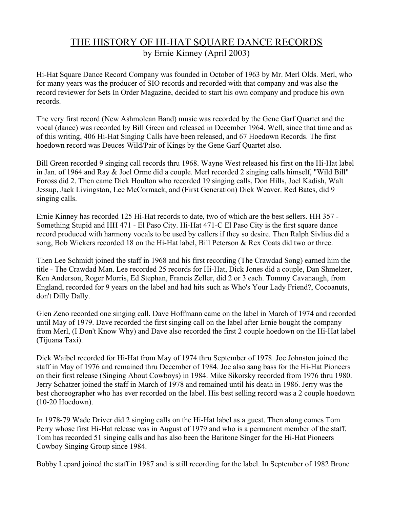## THE HISTORY OF HI-HAT SQUARE DANCE RECORDS by Ernie Kinney (April 2003)

Hi-Hat Square Dance Record Company was founded in October of 1963 by Mr. Merl Olds. Merl, who for many years was the producer of SIO records and recorded with that company and was also the record reviewer for Sets In Order Magazine, decided to start his own company and produce his own records.

The very first record (New Ashmolean Band) music was recorded by the Gene Garf Quartet and the vocal (dance) was recorded by Bill Green and released in December 1964. Well, since that time and as of this writing, 406 Hi-Hat Singing Calls have been released, and 67 Hoedown Records. The first hoedown record was Deuces Wild/Pair of Kings by the Gene Garf Quartet also.

Bill Green recorded 9 singing call records thru 1968. Wayne West released his first on the Hi-Hat label in Jan. of 1964 and Ray & Joel Orme did a couple. Merl recorded 2 singing calls himself, "Wild Bill" Foross did 2. Then came Dick Houlton who recorded 19 singing calls, Don Hills, Joel Kadish, Walt Jessup, Jack Livingston, Lee McCormack, and (First Generation) Dick Weaver. Red Bates, did 9 singing calls.

Ernie Kinney has recorded 125 Hi-Hat records to date, two of which are the best sellers. HH 357 - Something Stupid and HH 471 - El Paso City. Hi-Hat 471-C El Paso City is the first square dance record produced with harmony vocals to be used by callers if they so desire. Then Ralph Sivlius did a song, Bob Wickers recorded 18 on the Hi-Hat label, Bill Peterson & Rex Coats did two or three.

Then Lee Schmidt joined the staff in 1968 and his first recording (The Crawdad Song) earned him the title - The Crawdad Man. Lee recorded 25 records for Hi-Hat, Dick Jones did a couple, Dan Shmelzer, Ken Anderson, Roger Morris, Ed Stephan, Francis Zeller, did 2 or 3 each. Tommy Cavanaugh, from England, recorded for 9 years on the label and had hits such as Who's Your Lady Friend?, Cocoanuts, don't Dilly Dally.

Glen Zeno recorded one singing call. Dave Hoffmann came on the label in March of 1974 and recorded until May of 1979. Dave recorded the first singing call on the label after Ernie bought the company from Merl, (I Don't Know Why) and Dave also recorded the first 2 couple hoedown on the Hi-Hat label (Tijuana Taxi).

Dick Waibel recorded for Hi-Hat from May of 1974 thru September of 1978. Joe Johnston joined the staff in May of 1976 and remained thru December of 1984. Joe also sang bass for the Hi-Hat Pioneers on their first release (Singing About Cowboys) in 1984. Mike Sikorsky recorded from 1976 thru 1980. Jerry Schatzer joined the staff in March of 1978 and remained until his death in 1986. Jerry was the best choreographer who has ever recorded on the label. His best selling record was a 2 couple hoedown (10-20 Hoedown).

In 1978-79 Wade Driver did 2 singing calls on the Hi-Hat label as a guest. Then along comes Tom Perry whose first Hi-Hat release was in August of 1979 and who is a permanent member of the staff. Tom has recorded 51 singing calls and has also been the Baritone Singer for the Hi-Hat Pioneers Cowboy Singing Group since 1984.

Bobby Lepard joined the staff in 1987 and is still recording for the label. In September of 1982 Bronc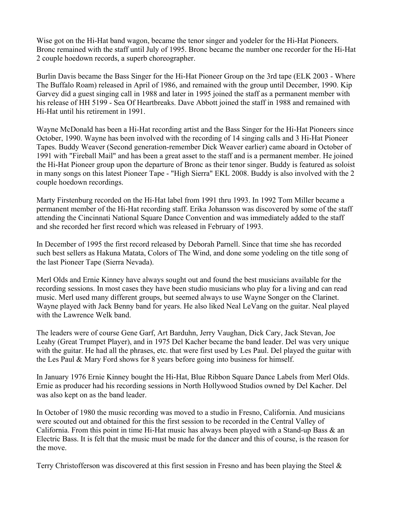Wise got on the Hi-Hat band wagon, became the tenor singer and yodeler for the Hi-Hat Pioneers. Bronc remained with the staff until July of 1995. Bronc became the number one recorder for the Hi-Hat 2 couple hoedown records, a superb choreographer.

Burlin Davis became the Bass Singer for the Hi-Hat Pioneer Group on the 3rd tape (ELK 2003 - Where The Buffalo Roam) released in April of 1986, and remained with the group until December, 1990. Kip Garvey did a guest singing call in 1988 and later in 1995 joined the staff as a permanent member with his release of HH 5199 - Sea Of Heartbreaks. Dave Abbott joined the staff in 1988 and remained with Hi-Hat until his retirement in 1991.

Wayne McDonald has been a Hi-Hat recording artist and the Bass Singer for the Hi-Hat Pioneers since October, 1990. Wayne has been involved with the recording of 14 singing calls and 3 Hi-Hat Pioneer Tapes. Buddy Weaver (Second generation-remember Dick Weaver earlier) came aboard in October of 1991 with "Fireball Mail" and has been a great asset to the staff and is a permanent member. He joined the Hi-Hat Pioneer group upon the departure of Bronc as their tenor singer. Buddy is featured as soloist in many songs on this latest Pioneer Tape - "High Sierra" EKL 2008. Buddy is also involved with the 2 couple hoedown recordings.

Marty Firstenburg recorded on the Hi-Hat label from 1991 thru 1993. In 1992 Tom Miller became a permanent member of the Hi-Hat recording staff. Erika Johansson was discovered by some of the staff attending the Cincinnati National Square Dance Convention and was immediately added to the staff and she recorded her first record which was released in February of 1993.

In December of 1995 the first record released by Deborah Parnell. Since that time she has recorded such best sellers as Hakuna Matata, Colors of The Wind, and done some yodeling on the title song of the last Pioneer Tape (Sierra Nevada).

Merl Olds and Ernie Kinney have always sought out and found the best musicians available for the recording sessions. In most cases they have been studio musicians who play for a living and can read music. Merl used many different groups, but seemed always to use Wayne Songer on the Clarinet. Wayne played with Jack Benny band for years. He also liked Neal LeVang on the guitar. Neal played with the Lawrence Welk band.

The leaders were of course Gene Garf, Art Barduhn, Jerry Vaughan, Dick Cary, Jack Stevan, Joe Leahy (Great Trumpet Player), and in 1975 Del Kacher became the band leader. Del was very unique with the guitar. He had all the phrases, etc. that were first used by Les Paul. Del played the guitar with the Les Paul & Mary Ford shows for 8 years before going into business for himself.

In January 1976 Ernie Kinney bought the Hi-Hat, Blue Ribbon Square Dance Labels from Merl Olds. Ernie as producer had his recording sessions in North Hollywood Studios owned by Del Kacher. Del was also kept on as the band leader.

In October of 1980 the music recording was moved to a studio in Fresno, California. And musicians were scouted out and obtained for this the first session to be recorded in the Central Valley of California. From this point in time Hi-Hat music has always been played with a Stand-up Bass & an Electric Bass. It is felt that the music must be made for the dancer and this of course, is the reason for the move.

Terry Christofferson was discovered at this first session in Fresno and has been playing the Steel &